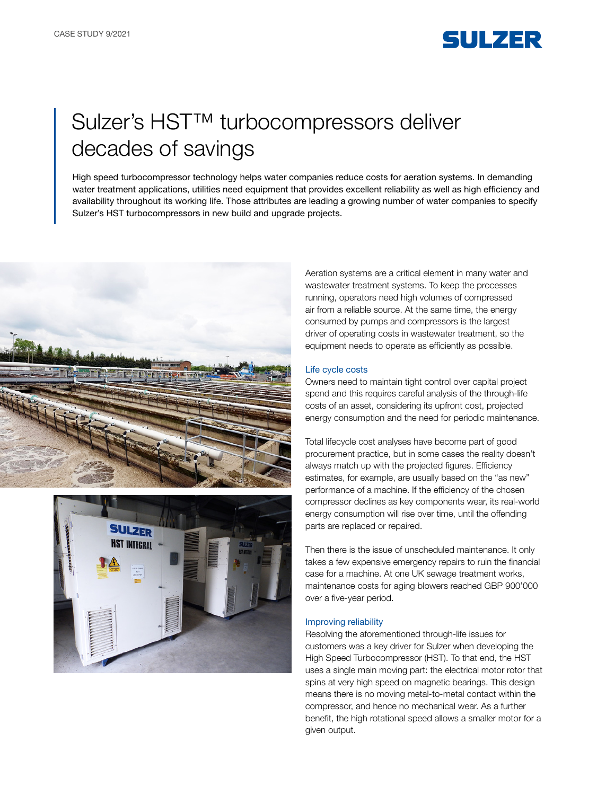

# Sulzer's HST™ turbocompressors deliver decades of savings

High speed turbocompressor technology helps water companies reduce costs for aeration systems. In demanding water treatment applications, utilities need equipment that provides excellent reliability as well as high efficiency and availability throughout its working life. Those attributes are leading a growing number of water companies to specify Sulzer's HST turbocompressors in new build and upgrade projects.





Aeration systems are a critical element in many water and wastewater treatment systems. To keep the processes running, operators need high volumes of compressed air from a reliable source. At the same time, the energy consumed by pumps and compressors is the largest driver of operating costs in wastewater treatment, so the equipment needs to operate as efficiently as possible.

### Life cycle costs

Owners need to maintain tight control over capital project spend and this requires careful analysis of the through-life costs of an asset, considering its upfront cost, projected energy consumption and the need for periodic maintenance.

Total lifecycle cost analyses have become part of good procurement practice, but in some cases the reality doesn't always match up with the projected figures. Efficiency estimates, for example, are usually based on the "as new" performance of a machine. If the efficiency of the chosen compressor declines as key components wear, its real-world energy consumption will rise over time, until the offending parts are replaced or repaired.

Then there is the issue of unscheduled maintenance. It only takes a few expensive emergency repairs to ruin the financial case for a machine. At one UK sewage treatment works, maintenance costs for aging blowers reached GBP 900'000 over a five-year period.

#### Improving reliability

Resolving the aforementioned through-life issues for customers was a key driver for Sulzer when developing the High Speed Turbocompressor (HST). To that end, the HST uses a single main moving part: the electrical motor rotor that spins at very high speed on magnetic bearings. This design means there is no moving metal-to-metal contact within the compressor, and hence no mechanical wear. As a further benefit, the high rotational speed allows a smaller motor for a given output.